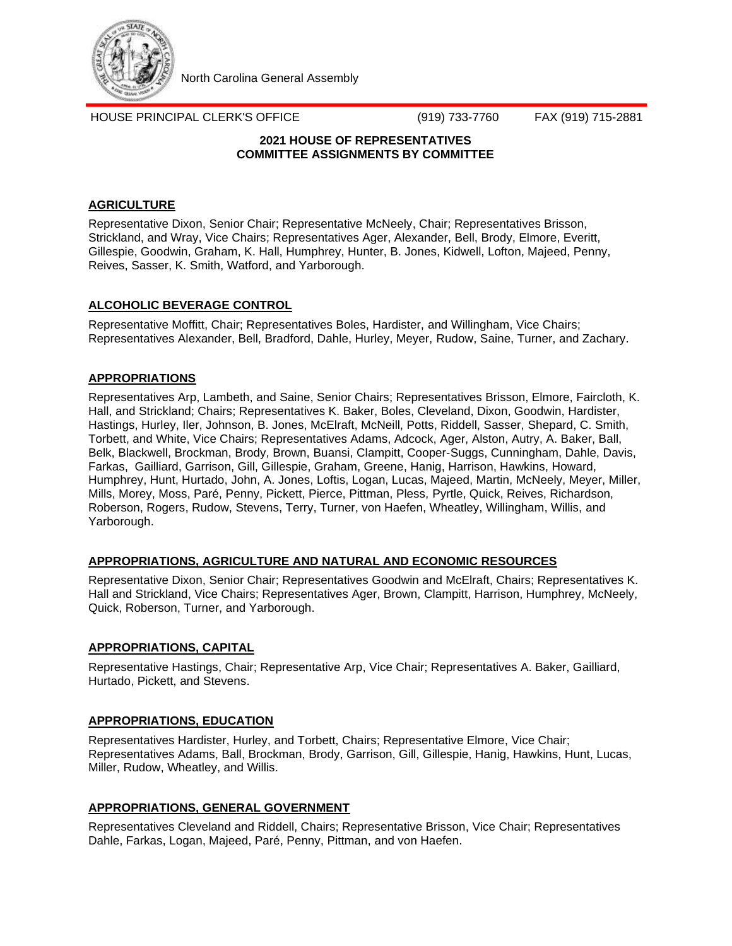

North Carolina General Assembly

HOUSE PRINCIPAL CLERK'S OFFICE (919) 733-7760 FAX (919) 715-2881

# **2021 HOUSE OF REPRESENTATIVES COMMITTEE ASSIGNMENTS BY COMMITTEE**

# **AGRICULTURE**

Representative Dixon, Senior Chair; Representative McNeely, Chair; Representatives Brisson, Strickland, and Wray, Vice Chairs; Representatives Ager, Alexander, Bell, Brody, Elmore, Everitt, Gillespie, Goodwin, Graham, K. Hall, Humphrey, Hunter, B. Jones, Kidwell, Lofton, Majeed, Penny, Reives, Sasser, K. Smith, Watford, and Yarborough.

# **ALCOHOLIC BEVERAGE CONTROL**

Representative Moffitt, Chair; Representatives Boles, Hardister, and Willingham, Vice Chairs; Representatives Alexander, Bell, Bradford, Dahle, Hurley, Meyer, Rudow, Saine, Turner, and Zachary.

# **APPROPRIATIONS**

Representatives Arp, Lambeth, and Saine, Senior Chairs; Representatives Brisson, Elmore, Faircloth, K. Hall, and Strickland; Chairs; Representatives K. Baker, Boles, Cleveland, Dixon, Goodwin, Hardister, Hastings, Hurley, Iler, Johnson, B. Jones, McElraft, McNeill, Potts, Riddell, Sasser, Shepard, C. Smith, Torbett, and White, Vice Chairs; Representatives Adams, Adcock, Ager, Alston, Autry, A. Baker, Ball, Belk, Blackwell, Brockman, Brody, Brown, Buansi, Clampitt, Cooper-Suggs, Cunningham, Dahle, Davis, Farkas, Gailliard, Garrison, Gill, Gillespie, Graham, Greene, Hanig, Harrison, Hawkins, Howard, Humphrey, Hunt, Hurtado, John, A. Jones, Loftis, Logan, Lucas, Majeed, Martin, McNeely, Meyer, Miller, Mills, Morey, Moss, Paré, Penny, Pickett, Pierce, Pittman, Pless, Pyrtle, Quick, Reives, Richardson, Roberson, Rogers, Rudow, Stevens, Terry, Turner, von Haefen, Wheatley, Willingham, Willis, and Yarborough.

# **APPROPRIATIONS, AGRICULTURE AND NATURAL AND ECONOMIC RESOURCES**

Representative Dixon, Senior Chair; Representatives Goodwin and McElraft, Chairs; Representatives K. Hall and Strickland, Vice Chairs; Representatives Ager, Brown, Clampitt, Harrison, Humphrey, McNeely, Quick, Roberson, Turner, and Yarborough.

# **APPROPRIATIONS, CAPITAL**

Representative Hastings, Chair; Representative Arp, Vice Chair; Representatives A. Baker, Gailliard, Hurtado, Pickett, and Stevens.

# **APPROPRIATIONS, EDUCATION**

Representatives Hardister, Hurley, and Torbett, Chairs; Representative Elmore, Vice Chair; Representatives Adams, Ball, Brockman, Brody, Garrison, Gill, Gillespie, Hanig, Hawkins, Hunt, Lucas, Miller, Rudow, Wheatley, and Willis.

# **APPROPRIATIONS, GENERAL GOVERNMENT**

Representatives Cleveland and Riddell, Chairs; Representative Brisson, Vice Chair; Representatives Dahle, Farkas, Logan, Majeed, Paré, Penny, Pittman, and von Haefen.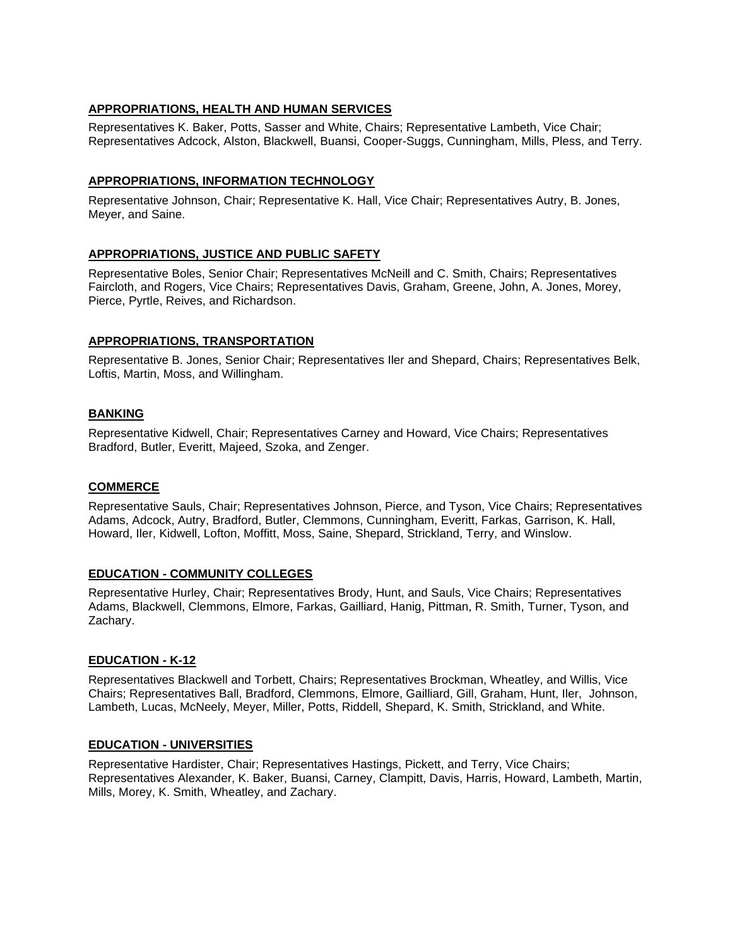# **APPROPRIATIONS, HEALTH AND HUMAN SERVICES**

Representatives K. Baker, Potts, Sasser and White, Chairs; Representative Lambeth, Vice Chair; Representatives Adcock, Alston, Blackwell, Buansi, Cooper-Suggs, Cunningham, Mills, Pless, and Terry.

### **APPROPRIATIONS, INFORMATION TECHNOLOGY**

Representative Johnson, Chair; Representative K. Hall, Vice Chair; Representatives Autry, B. Jones, Meyer, and Saine.

### **APPROPRIATIONS, JUSTICE AND PUBLIC SAFETY**

Representative Boles, Senior Chair; Representatives McNeill and C. Smith, Chairs; Representatives Faircloth, and Rogers, Vice Chairs; Representatives Davis, Graham, Greene, John, A. Jones, Morey, Pierce, Pyrtle, Reives, and Richardson.

### **APPROPRIATIONS, TRANSPORTATION**

Representative B. Jones, Senior Chair; Representatives Iler and Shepard, Chairs; Representatives Belk, Loftis, Martin, Moss, and Willingham.

### **BANKING**

Representative Kidwell, Chair; Representatives Carney and Howard, Vice Chairs; Representatives Bradford, Butler, Everitt, Majeed, Szoka, and Zenger.

### **COMMERCE**

Representative Sauls, Chair; Representatives Johnson, Pierce, and Tyson, Vice Chairs; Representatives Adams, Adcock, Autry, Bradford, Butler, Clemmons, Cunningham, Everitt, Farkas, Garrison, K. Hall, Howard, Iler, Kidwell, Lofton, Moffitt, Moss, Saine, Shepard, Strickland, Terry, and Winslow.

### **EDUCATION - COMMUNITY COLLEGES**

Representative Hurley, Chair; Representatives Brody, Hunt, and Sauls, Vice Chairs; Representatives Adams, Blackwell, Clemmons, Elmore, Farkas, Gailliard, Hanig, Pittman, R. Smith, Turner, Tyson, and Zachary.

### **EDUCATION - K-12**

Representatives Blackwell and Torbett, Chairs; Representatives Brockman, Wheatley, and Willis, Vice Chairs; Representatives Ball, Bradford, Clemmons, Elmore, Gailliard, Gill, Graham, Hunt, Iler, Johnson, Lambeth, Lucas, McNeely, Meyer, Miller, Potts, Riddell, Shepard, K. Smith, Strickland, and White.

### **EDUCATION - UNIVERSITIES**

Representative Hardister, Chair; Representatives Hastings, Pickett, and Terry, Vice Chairs; Representatives Alexander, K. Baker, Buansi, Carney, Clampitt, Davis, Harris, Howard, Lambeth, Martin, Mills, Morey, K. Smith, Wheatley, and Zachary.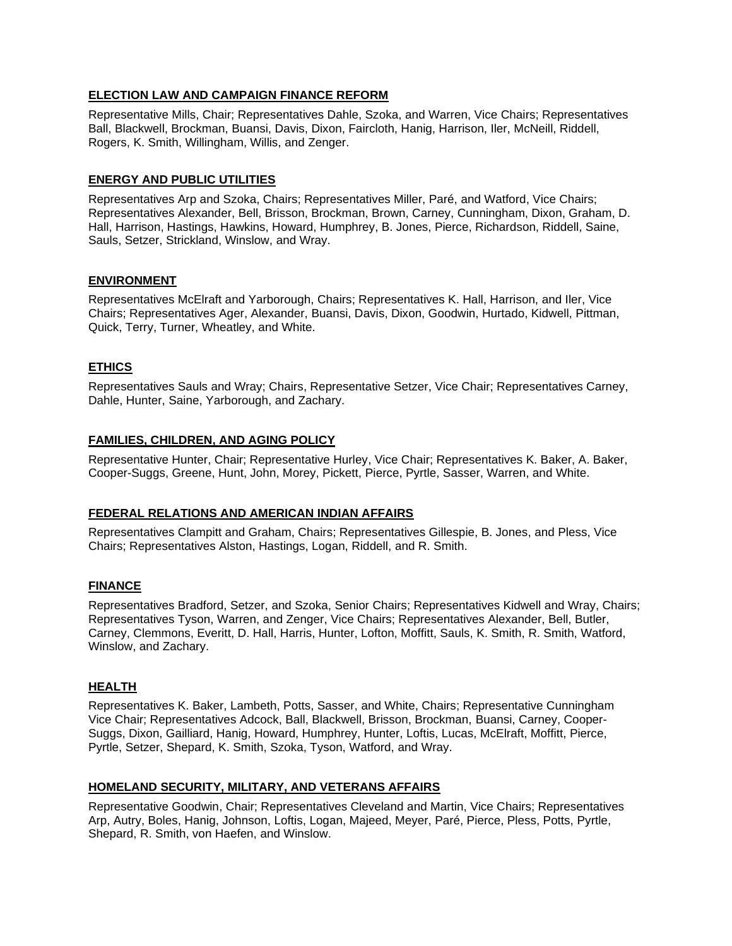### **ELECTION LAW AND CAMPAIGN FINANCE REFORM**

Representative Mills, Chair; Representatives Dahle, Szoka, and Warren, Vice Chairs; Representatives Ball, Blackwell, Brockman, Buansi, Davis, Dixon, Faircloth, Hanig, Harrison, Iler, McNeill, Riddell, Rogers, K. Smith, Willingham, Willis, and Zenger.

### **ENERGY AND PUBLIC UTILITIES**

Representatives Arp and Szoka, Chairs; Representatives Miller, Paré, and Watford, Vice Chairs; Representatives Alexander, Bell, Brisson, Brockman, Brown, Carney, Cunningham, Dixon, Graham, D. Hall, Harrison, Hastings, Hawkins, Howard, Humphrey, B. Jones, Pierce, Richardson, Riddell, Saine, Sauls, Setzer, Strickland, Winslow, and Wray.

### **ENVIRONMENT**

Representatives McElraft and Yarborough, Chairs; Representatives K. Hall, Harrison, and Iler, Vice Chairs; Representatives Ager, Alexander, Buansi, Davis, Dixon, Goodwin, Hurtado, Kidwell, Pittman, Quick, Terry, Turner, Wheatley, and White.

# **ETHICS**

Representatives Sauls and Wray; Chairs, Representative Setzer, Vice Chair; Representatives Carney, Dahle, Hunter, Saine, Yarborough, and Zachary.

# **FAMILIES, CHILDREN, AND AGING POLICY**

Representative Hunter, Chair; Representative Hurley, Vice Chair; Representatives K. Baker, A. Baker, Cooper-Suggs, Greene, Hunt, John, Morey, Pickett, Pierce, Pyrtle, Sasser, Warren, and White.

# **FEDERAL RELATIONS AND AMERICAN INDIAN AFFAIRS**

Representatives Clampitt and Graham, Chairs; Representatives Gillespie, B. Jones, and Pless, Vice Chairs; Representatives Alston, Hastings, Logan, Riddell, and R. Smith.

### **FINANCE**

Representatives Bradford, Setzer, and Szoka, Senior Chairs; Representatives Kidwell and Wray, Chairs; Representatives Tyson, Warren, and Zenger, Vice Chairs; Representatives Alexander, Bell, Butler, Carney, Clemmons, Everitt, D. Hall, Harris, Hunter, Lofton, Moffitt, Sauls, K. Smith, R. Smith, Watford, Winslow, and Zachary.

### **HEALTH**

Representatives K. Baker, Lambeth, Potts, Sasser, and White, Chairs; Representative Cunningham Vice Chair; Representatives Adcock, Ball, Blackwell, Brisson, Brockman, Buansi, Carney, Cooper-Suggs, Dixon, Gailliard, Hanig, Howard, Humphrey, Hunter, Loftis, Lucas, McElraft, Moffitt, Pierce, Pyrtle, Setzer, Shepard, K. Smith, Szoka, Tyson, Watford, and Wray.

### **HOMELAND SECURITY, MILITARY, AND VETERANS AFFAIRS**

Representative Goodwin, Chair; Representatives Cleveland and Martin, Vice Chairs; Representatives Arp, Autry, Boles, Hanig, Johnson, Loftis, Logan, Majeed, Meyer, Paré, Pierce, Pless, Potts, Pyrtle, Shepard, R. Smith, von Haefen, and Winslow.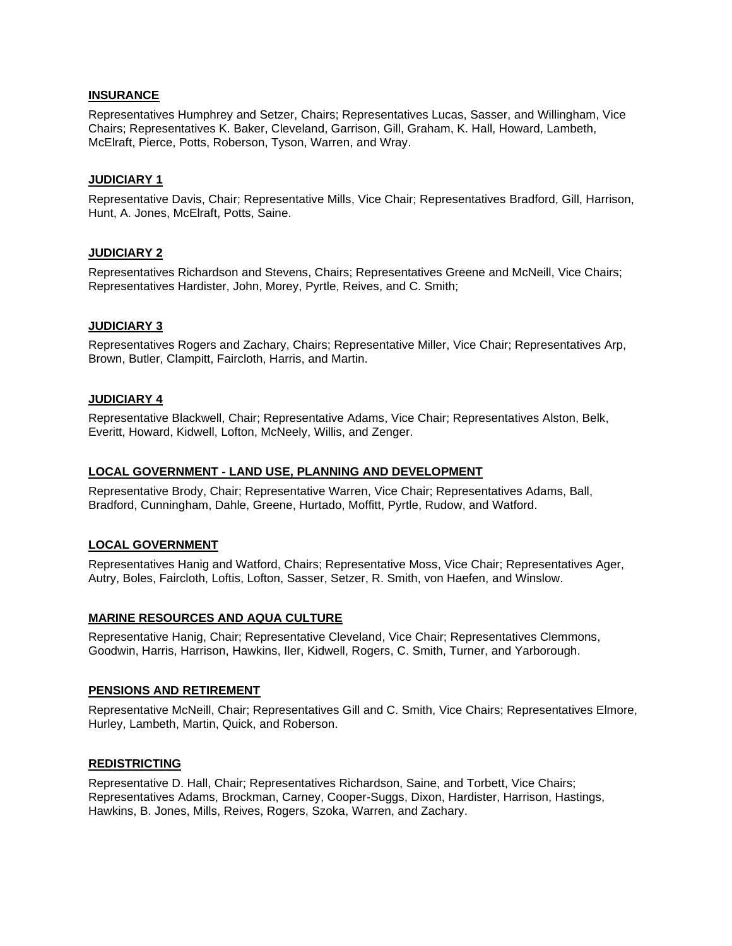### **INSURANCE**

Representatives Humphrey and Setzer, Chairs; Representatives Lucas, Sasser, and Willingham, Vice Chairs; Representatives K. Baker, Cleveland, Garrison, Gill, Graham, K. Hall, Howard, Lambeth, McElraft, Pierce, Potts, Roberson, Tyson, Warren, and Wray.

### **JUDICIARY 1**

Representative Davis, Chair; Representative Mills, Vice Chair; Representatives Bradford, Gill, Harrison, Hunt, A. Jones, McElraft, Potts, Saine.

### **JUDICIARY 2**

Representatives Richardson and Stevens, Chairs; Representatives Greene and McNeill, Vice Chairs; Representatives Hardister, John, Morey, Pyrtle, Reives, and C. Smith;

#### **JUDICIARY 3**

Representatives Rogers and Zachary, Chairs; Representative Miller, Vice Chair; Representatives Arp, Brown, Butler, Clampitt, Faircloth, Harris, and Martin.

#### **JUDICIARY 4**

Representative Blackwell, Chair; Representative Adams, Vice Chair; Representatives Alston, Belk, Everitt, Howard, Kidwell, Lofton, McNeely, Willis, and Zenger.

#### **LOCAL GOVERNMENT - LAND USE, PLANNING AND DEVELOPMENT**

Representative Brody, Chair; Representative Warren, Vice Chair; Representatives Adams, Ball, Bradford, Cunningham, Dahle, Greene, Hurtado, Moffitt, Pyrtle, Rudow, and Watford.

### **LOCAL GOVERNMENT**

Representatives Hanig and Watford, Chairs; Representative Moss, Vice Chair; Representatives Ager, Autry, Boles, Faircloth, Loftis, Lofton, Sasser, Setzer, R. Smith, von Haefen, and Winslow.

#### **MARINE RESOURCES AND AQUA CULTURE**

Representative Hanig, Chair; Representative Cleveland, Vice Chair; Representatives Clemmons, Goodwin, Harris, Harrison, Hawkins, Iler, Kidwell, Rogers, C. Smith, Turner, and Yarborough.

#### **PENSIONS AND RETIREMENT**

Representative McNeill, Chair; Representatives Gill and C. Smith, Vice Chairs; Representatives Elmore, Hurley, Lambeth, Martin, Quick, and Roberson.

#### **REDISTRICTING**

Representative D. Hall, Chair; Representatives Richardson, Saine, and Torbett, Vice Chairs; Representatives Adams, Brockman, Carney, Cooper-Suggs, Dixon, Hardister, Harrison, Hastings, Hawkins, B. Jones, Mills, Reives, Rogers, Szoka, Warren, and Zachary.